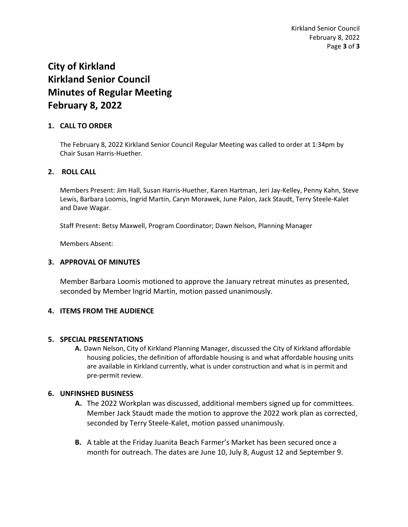# **City of Kirkland Kirkland Senior Council Minutes of Regular Meeting February 8, 2022**

## **1. CALL TO ORDER**

The February 8, 2022 Kirkland Senior Council Regular Meeting was called to order at 1:34pm by Chair Susan Harris-Huether.

## **2. ROLL CALL**

Members Present: Jim Hall, Susan Harris-Huether, Karen Hartman, Jeri Jay-Kelley, Penny Kahn, Steve Lewis, Barbara Loomis, Ingrid Martin, Caryn Morawek, June Palon, Jack Staudt, Terry Steele-Kalet and Dave Wagar.

Staff Present: Betsy Maxwell, Program Coordinator; Dawn Nelson, Planning Manager

Members Absent:

#### **3. APPROVAL OF MINUTES**

Member Barbara Loomis motioned to approve the January retreat minutes as presented, seconded by Member Ingrid Martin, motion passed unanimously.

## **4. ITEMS FROM THE AUDIENCE**

#### **5. SPECIAL PRESENTATIONS**

**A.** Dawn Nelson, City of Kirkland Planning Manager, discussed the City of Kirkland affordable housing policies, the definition of affordable housing is and what affordable housing units are available in Kirkland currently, what is under construction and what is in permit and pre-permit review.

#### **6. UNFINSHED BUSINESS**

- **A.** The 2022 Workplan was discussed, additional members signed up for committees. Member Jack Staudt made the motion to approve the 2022 work plan as corrected, seconded by Terry Steele-Kalet, motion passed unanimously.
- **B.** A table at the Friday Juanita Beach Farmer's Market has been secured once a month for outreach. The dates are June 10, July 8, August 12 and September 9.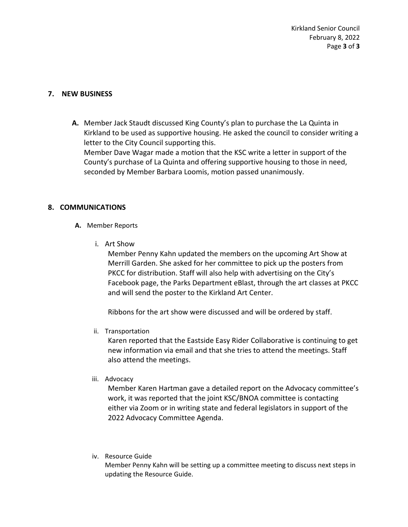Kirkland Senior Council February 8, 2022 Page **3** of **3**

## **7. NEW BUSINESS**

**A.** Member Jack Staudt discussed King County's plan to purchase the La Quinta in Kirkland to be used as supportive housing. He asked the council to consider writing a letter to the City Council supporting this. Member Dave Wagar made a motion that the KSC write a letter in support of the County's purchase of La Quinta and offering supportive housing to those in need, seconded by Member Barbara Loomis, motion passed unanimously.

#### **8. COMMUNICATIONS**

- **A.** Member Reports
	- i. Art Show

Member Penny Kahn updated the members on the upcoming Art Show at Merrill Garden. She asked for her committee to pick up the posters from PKCC for distribution. Staff will also help with advertising on the City's Facebook page, the Parks Department eBlast, through the art classes at PKCC and will send the poster to the Kirkland Art Center.

Ribbons for the art show were discussed and will be ordered by staff.

ii. Transportation

Karen reported that the Eastside Easy Rider Collaborative is continuing to get new information via email and that she tries to attend the meetings. Staff also attend the meetings.

iii. Advocacy

Member Karen Hartman gave a detailed report on the Advocacy committee's work, it was reported that the joint KSC/BNOA committee is contacting either via Zoom or in writing state and federal legislators in support of the 2022 Advocacy Committee Agenda.

iv. Resource Guide

Member Penny Kahn will be setting up a committee meeting to discuss next steps in updating the Resource Guide.